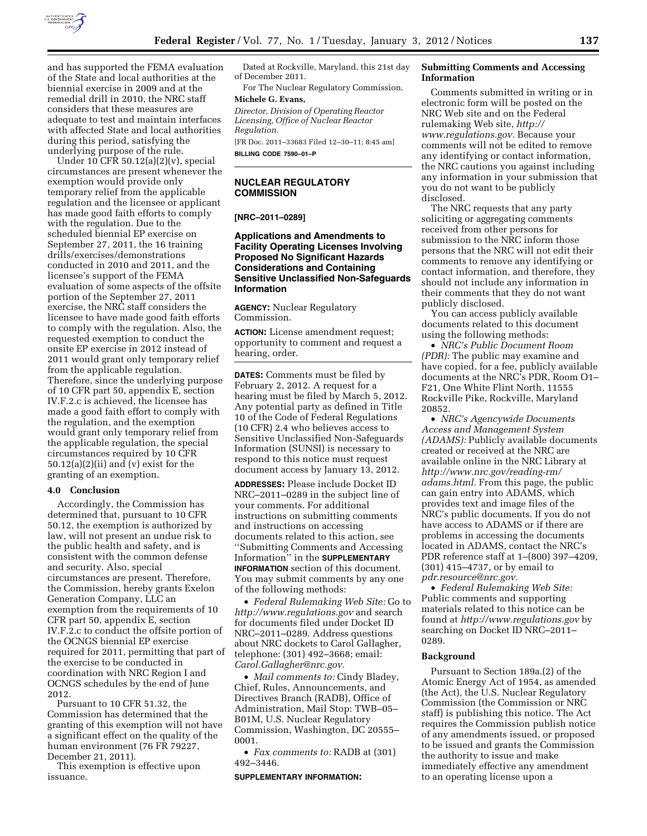

and has supported the FEMA evaluation of the State and local authorities at the biennial exercise in 2009 and at the remedial drill in 2010, the NRC staff considers that these measures are adequate to test and maintain interfaces with affected State and local authorities during this period, satisfying the underlying purpose of the rule.

Under 10 CFR 50.12(a)(2)(v), special circumstances are present whenever the exemption would provide only temporary relief from the applicable regulation and the licensee or applicant has made good faith efforts to comply with the regulation. Due to the scheduled biennial EP exercise on September 27, 2011, the 16 training drills/exercises/demonstrations conducted in 2010 and 2011, and the licensee's support of the FEMA evaluation of some aspects of the offsite portion of the September 27, 2011 exercise, the NRC staff considers the licensee to have made good faith efforts to comply with the regulation. Also, the requested exemption to conduct the onsite EP exercise in 2012 instead of 2011 would grant only temporary relief from the applicable regulation. Therefore, since the underlying purpose of 10 CFR part 50, appendix E, section IV.F.2.c is achieved, the licensee has made a good faith effort to comply with the regulation, and the exemption would grant only temporary relief from the applicable regulation, the special circumstances required by 10 CFR 50.12(a)(2)(ii) and (v) exist for the granting of an exemption.

#### **4.0 Conclusion**

Accordingly, the Commission has determined that, pursuant to 10 CFR 50.12, the exemption is authorized by law, will not present an undue risk to the public health and safety, and is consistent with the common defense and security. Also, special circumstances are present. Therefore, the Commission, hereby grants Exelon Generation Company, LLC an exemption from the requirements of 10 CFR part 50, appendix E, section IV.F.2.c to conduct the offsite portion of the OCNGS biennial EP exercise required for 2011, permitting that part of the exercise to be conducted in coordination with NRC Region I and OCNGS schedules by the end of June 2012.

Pursuant to 10 CFR 51.32, the Commission has determined that the granting of this exemption will not have a significant effect on the quality of the human environment (76 FR 79227, December 21, 2011).

This exemption is effective upon issuance.

Dated at Rockville, Maryland, this 21st day of December 2011.

For The Nuclear Regulatory Commission.

# **Michele G. Evans,**

*Director, Division of Operating Reactor Licensing, Office of Nuclear Reactor Regulation.* 

[FR Doc. 2011–33683 Filed 12–30–11; 8:45 am] **BILLING CODE 7590–01–P** 

#### **NUCLEAR REGULATORY COMMISSION**

#### **[NRC–2011–0289]**

## **Applications and Amendments to Facility Operating Licenses Involving Proposed No Significant Hazards Considerations and Containing Sensitive Unclassified Non-Safeguards Information**

**AGENCY:** Nuclear Regulatory Commission.

**ACTION:** License amendment request; opportunity to comment and request a hearing, order.

**DATES:** Comments must be filed by February 2, 2012. A request for a hearing must be filed by March 5, 2012. Any potential party as defined in Title 10 of the Code of Federal Regulations (10 CFR) 2.4 who believes access to Sensitive Unclassified Non-Safeguards Information (SUNSI) is necessary to respond to this notice must request document access by January 13, 2012.

**ADDRESSES:** Please include Docket ID NRC–2011–0289 in the subject line of your comments. For additional instructions on submitting comments and instructions on accessing documents related to this action, see ''Submitting Comments and Accessing Information'' in the **SUPPLEMENTARY INFORMATION** section of this document. You may submit comments by any one of the following methods:

• *Federal Rulemaking Web Site:* Go to *<http://www.regulations.gov>* and search for documents filed under Docket ID NRC–2011–0289. Address questions about NRC dockets to Carol Gallagher, telephone: (301) 492–3668; email: *[Carol.Gallagher@nrc.gov.](mailto:Carol.Gallagher@nrc.gov)* 

• *Mail comments to:* Cindy Bladey, Chief, Rules, Announcements, and Directives Branch (RADB), Office of Administration, Mail Stop: TWB–05– B01M, U.S. Nuclear Regulatory Commission, Washington, DC 20555– 0001.

• *Fax comments to:* RADB at (301) 492–3446.

#### **SUPPLEMENTARY INFORMATION:**

### **Submitting Comments and Accessing Information**

Comments submitted in writing or in electronic form will be posted on the NRC Web site and on the Federal rulemaking Web site, *[http://](http://www.regulations.gov) [www.regulations.gov.](http://www.regulations.gov)* Because your comments will not be edited to remove any identifying or contact information, the NRC cautions you against including any information in your submission that you do not want to be publicly disclosed.

The NRC requests that any party soliciting or aggregating comments received from other persons for submission to the NRC inform those persons that the NRC will not edit their comments to remove any identifying or contact information, and therefore, they should not include any information in their comments that they do not want publicly disclosed.

You can access publicly available documents related to this document using the following methods:

• *NRC's Public Document Room (PDR):* The public may examine and have copied, for a fee, publicly available documents at the NRC's PDR, Room O1– F21, One White Flint North, 11555 Rockville Pike, Rockville, Maryland 20852.

• *NRC's Agencywide Documents Access and Management System (ADAMS):* Publicly available documents created or received at the NRC are available online in the NRC Library at *[http://www.nrc.gov/reading-rm/](http://www.nrc.gov/reading-rm/adams.html)  [adams.html.](http://www.nrc.gov/reading-rm/adams.html)* From this page, the public can gain entry into ADAMS, which provides text and image files of the NRC's public documents. If you do not have access to ADAMS or if there are problems in accessing the documents located in ADAMS, contact the NRC's PDR reference staff at 1–(800) 397–4209, (301) 415–4737, or by email to *[pdr.resource@nrc.gov.](mailto:pdr.resource@nrc.gov)* 

• *Federal Rulemaking Web Site:*  Public comments and supporting materials related to this notice can be found at *<http://www.regulations.gov>* by searching on Docket ID NRC–2011– 0289.

#### **Background**

Pursuant to Section 189a.(2) of the Atomic Energy Act of 1954, as amended (the Act), the U.S. Nuclear Regulatory Commission (the Commission or NRC staff) is publishing this notice. The Act requires the Commission publish notice of any amendments issued, or proposed to be issued and grants the Commission the authority to issue and make immediately effective any amendment to an operating license upon a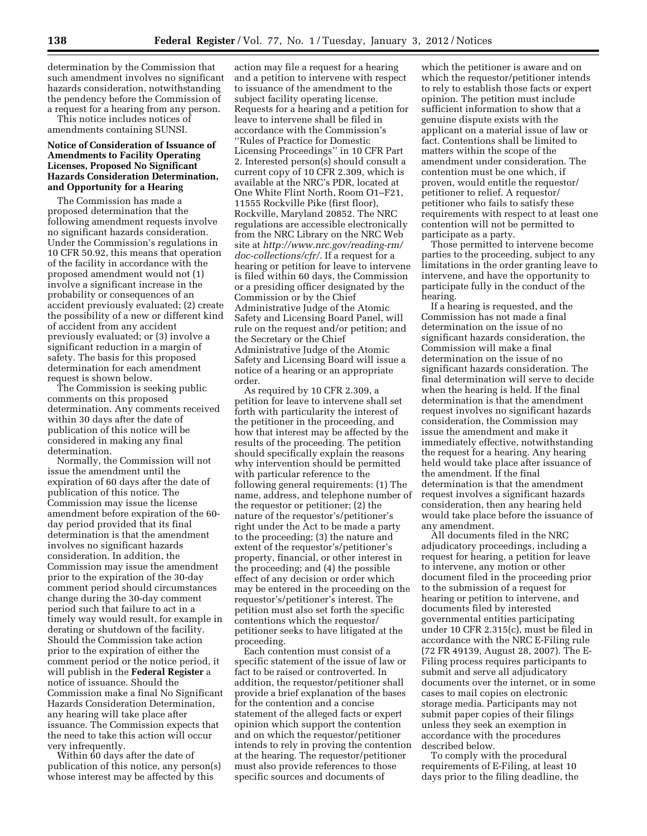determination by the Commission that such amendment involves no significant hazards consideration, notwithstanding the pendency before the Commission of a request for a hearing from any person.

This notice includes notices of amendments containing SUNSI.

### **Notice of Consideration of Issuance of Amendments to Facility Operating Licenses, Proposed No Significant Hazards Consideration Determination, and Opportunity for a Hearing**

The Commission has made a proposed determination that the following amendment requests involve no significant hazards consideration. Under the Commission's regulations in 10 CFR 50.92, this means that operation of the facility in accordance with the proposed amendment would not (1) involve a significant increase in the probability or consequences of an accident previously evaluated; (2) create the possibility of a new or different kind of accident from any accident previously evaluated; or (3) involve a significant reduction in a margin of safety. The basis for this proposed determination for each amendment request is shown below.

The Commission is seeking public comments on this proposed determination. Any comments received within 30 days after the date of publication of this notice will be considered in making any final determination.

Normally, the Commission will not issue the amendment until the expiration of 60 days after the date of publication of this notice. The Commission may issue the license amendment before expiration of the 60 day period provided that its final determination is that the amendment involves no significant hazards consideration. In addition, the Commission may issue the amendment prior to the expiration of the 30-day comment period should circumstances change during the 30-day comment period such that failure to act in a timely way would result, for example in derating or shutdown of the facility. Should the Commission take action prior to the expiration of either the comment period or the notice period, it will publish in the **Federal Register** a notice of issuance. Should the Commission make a final No Significant Hazards Consideration Determination, any hearing will take place after issuance. The Commission expects that the need to take this action will occur very infrequently.

Within 60 days after the date of publication of this notice, any person(s) whose interest may be affected by this

action may file a request for a hearing and a petition to intervene with respect to issuance of the amendment to the subject facility operating license. Requests for a hearing and a petition for leave to intervene shall be filed in accordance with the Commission's ''Rules of Practice for Domestic Licensing Proceedings'' in 10 CFR Part 2. Interested person(s) should consult a current copy of 10 CFR 2.309, which is available at the NRC's PDR, located at One White Flint North, Room O1–F21, 11555 Rockville Pike (first floor), Rockville, Maryland 20852. The NRC regulations are accessible electronically from the NRC Library on the NRC Web site at *[http://www.nrc.gov/reading-rm/](http://www.nrc.gov/reading-rm/doc-collections/cfr/) [doc-collections/cfr/.](http://www.nrc.gov/reading-rm/doc-collections/cfr/)* If a request for a hearing or petition for leave to intervene is filed within 60 days, the Commission or a presiding officer designated by the Commission or by the Chief Administrative Judge of the Atomic Safety and Licensing Board Panel, will rule on the request and/or petition; and the Secretary or the Chief Administrative Judge of the Atomic Safety and Licensing Board will issue a notice of a hearing or an appropriate order.

As required by 10 CFR 2.309, a petition for leave to intervene shall set forth with particularity the interest of the petitioner in the proceeding, and how that interest may be affected by the results of the proceeding. The petition should specifically explain the reasons why intervention should be permitted with particular reference to the following general requirements: (1) The name, address, and telephone number of the requestor or petitioner; (2) the nature of the requestor's/petitioner's right under the Act to be made a party to the proceeding; (3) the nature and extent of the requestor's/petitioner's property, financial, or other interest in the proceeding; and (4) the possible effect of any decision or order which may be entered in the proceeding on the requestor's/petitioner's interest. The petition must also set forth the specific contentions which the requestor/ petitioner seeks to have litigated at the proceeding.

Each contention must consist of a specific statement of the issue of law or fact to be raised or controverted. In addition, the requestor/petitioner shall provide a brief explanation of the bases for the contention and a concise statement of the alleged facts or expert opinion which support the contention and on which the requestor/petitioner intends to rely in proving the contention at the hearing. The requestor/petitioner must also provide references to those specific sources and documents of

which the petitioner is aware and on which the requestor/petitioner intends to rely to establish those facts or expert opinion. The petition must include sufficient information to show that a genuine dispute exists with the applicant on a material issue of law or fact. Contentions shall be limited to matters within the scope of the amendment under consideration. The contention must be one which, if proven, would entitle the requestor/ petitioner to relief. A requestor/ petitioner who fails to satisfy these requirements with respect to at least one contention will not be permitted to participate as a party.

Those permitted to intervene become parties to the proceeding, subject to any limitations in the order granting leave to intervene, and have the opportunity to participate fully in the conduct of the hearing.

If a hearing is requested, and the Commission has not made a final determination on the issue of no significant hazards consideration, the Commission will make a final determination on the issue of no significant hazards consideration. The final determination will serve to decide when the hearing is held. If the final determination is that the amendment request involves no significant hazards consideration, the Commission may issue the amendment and make it immediately effective, notwithstanding the request for a hearing. Any hearing held would take place after issuance of the amendment. If the final determination is that the amendment request involves a significant hazards consideration, then any hearing held would take place before the issuance of any amendment.

All documents filed in the NRC adjudicatory proceedings, including a request for hearing, a petition for leave to intervene, any motion or other document filed in the proceeding prior to the submission of a request for hearing or petition to intervene, and documents filed by interested governmental entities participating under 10 CFR 2.315(c), must be filed in accordance with the NRC E-Filing rule (72 FR 49139, August 28, 2007). The E-Filing process requires participants to submit and serve all adjudicatory documents over the internet, or in some cases to mail copies on electronic storage media. Participants may not submit paper copies of their filings unless they seek an exemption in accordance with the procedures described below.

To comply with the procedural requirements of E-Filing, at least 10 days prior to the filing deadline, the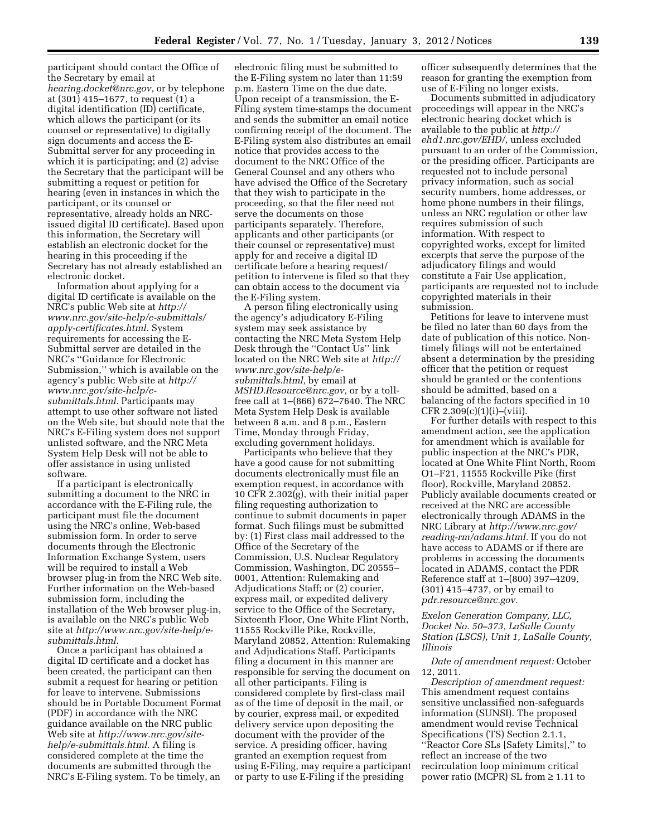participant should contact the Office of the Secretary by email at *[hearing.docket@nrc.gov,](mailto:hearing.docket@nrc.gov)* or by telephone at (301) 415–1677, to request (1) a digital identification (ID) certificate, which allows the participant (or its counsel or representative) to digitally sign documents and access the E-Submittal server for any proceeding in which it is participating; and (2) advise the Secretary that the participant will be submitting a request or petition for hearing (even in instances in which the participant, or its counsel or representative, already holds an NRCissued digital ID certificate). Based upon this information, the Secretary will establish an electronic docket for the hearing in this proceeding if the Secretary has not already established an electronic docket.

Information about applying for a digital ID certificate is available on the NRC's public Web site at *[http://](http://www.nrc.gov/site-help/e-submittals/apply-certificates.html) [www.nrc.gov/site-help/e-submittals/](http://www.nrc.gov/site-help/e-submittals/apply-certificates.html)  [apply-certificates.html.](http://www.nrc.gov/site-help/e-submittals/apply-certificates.html)* System requirements for accessing the E-Submittal server are detailed in the NRC's ''Guidance for Electronic Submission,'' which is available on the agency's public Web site at *[http://](http://www.nrc.gov/site-help/e-submittals.html)  [www.nrc.gov/site-help/e](http://www.nrc.gov/site-help/e-submittals.html)[submittals.html.](http://www.nrc.gov/site-help/e-submittals.html)* Participants may attempt to use other software not listed on the Web site, but should note that the NRC's E-Filing system does not support unlisted software, and the NRC Meta System Help Desk will not be able to offer assistance in using unlisted software.

If a participant is electronically submitting a document to the NRC in accordance with the E-Filing rule, the participant must file the document using the NRC's online, Web-based submission form. In order to serve documents through the Electronic Information Exchange System, users will be required to install a Web browser plug-in from the NRC Web site. Further information on the Web-based submission form, including the installation of the Web browser plug-in, is available on the NRC's public Web site at *[http://www.nrc.gov/site-help/e](http://www.nrc.gov/site-help/e-submittals.html)[submittals.html.](http://www.nrc.gov/site-help/e-submittals.html)* 

Once a participant has obtained a digital ID certificate and a docket has been created, the participant can then submit a request for hearing or petition for leave to intervene. Submissions should be in Portable Document Format (PDF) in accordance with the NRC guidance available on the NRC public Web site at *[http://www.nrc.gov/site](http://www.nrc.gov/site-help/e-submittals.html)[help/e-submittals.html.](http://www.nrc.gov/site-help/e-submittals.html)* A filing is considered complete at the time the documents are submitted through the NRC's E-Filing system. To be timely, an

electronic filing must be submitted to the E-Filing system no later than 11:59 p.m. Eastern Time on the due date. Upon receipt of a transmission, the E-Filing system time-stamps the document and sends the submitter an email notice confirming receipt of the document. The E-Filing system also distributes an email notice that provides access to the document to the NRC Office of the General Counsel and any others who have advised the Office of the Secretary that they wish to participate in the proceeding, so that the filer need not serve the documents on those participants separately. Therefore, applicants and other participants (or their counsel or representative) must apply for and receive a digital ID certificate before a hearing request/ petition to intervene is filed so that they can obtain access to the document via the E-Filing system.

A person filing electronically using the agency's adjudicatory E-Filing system may seek assistance by contacting the NRC Meta System Help Desk through the ''Contact Us'' link located on the NRC Web site at *[http://](http://www.nrc.gov/site-help/e-submittals.html)  [www.nrc.gov/site-help/e](http://www.nrc.gov/site-help/e-submittals.html)[submittals.html,](http://www.nrc.gov/site-help/e-submittals.html)* by email at *[MSHD.Resource@nrc.gov,](mailto:MSHD.Resource@nrc.gov)* or by a tollfree call at 1–(866) 672–7640. The NRC Meta System Help Desk is available between 8 a.m. and 8 p.m., Eastern Time, Monday through Friday, excluding government holidays.

Participants who believe that they have a good cause for not submitting documents electronically must file an exemption request, in accordance with 10 CFR 2.302(g), with their initial paper filing requesting authorization to continue to submit documents in paper format. Such filings must be submitted by: (1) First class mail addressed to the Office of the Secretary of the Commission, U.S. Nuclear Regulatory Commission, Washington, DC 20555– 0001, Attention: Rulemaking and Adjudications Staff; or (2) courier, express mail, or expedited delivery service to the Office of the Secretary, Sixteenth Floor, One White Flint North, 11555 Rockville Pike, Rockville, Maryland 20852, Attention: Rulemaking and Adjudications Staff. Participants filing a document in this manner are responsible for serving the document on all other participants. Filing is considered complete by first-class mail as of the time of deposit in the mail, or by courier, express mail, or expedited delivery service upon depositing the document with the provider of the service. A presiding officer, having granted an exemption request from using E-Filing, may require a participant or party to use E-Filing if the presiding

officer subsequently determines that the reason for granting the exemption from use of E-Filing no longer exists.

Documents submitted in adjudicatory proceedings will appear in the NRC's electronic hearing docket which is available to the public at *[http://](http://ehd1.nrc.gov/EHD/)  [ehd1.nrc.gov/EHD/](http://ehd1.nrc.gov/EHD/)*, unless excluded pursuant to an order of the Commission, or the presiding officer. Participants are requested not to include personal privacy information, such as social security numbers, home addresses, or home phone numbers in their filings, unless an NRC regulation or other law requires submission of such information. With respect to copyrighted works, except for limited excerpts that serve the purpose of the adjudicatory filings and would constitute a Fair Use application, participants are requested not to include copyrighted materials in their submission.

Petitions for leave to intervene must be filed no later than 60 days from the date of publication of this notice. Nontimely filings will not be entertained absent a determination by the presiding officer that the petition or request should be granted or the contentions should be admitted, based on a balancing of the factors specified in 10  $CFR 2.309(c)(1)(i)–(viii).$ 

For further details with respect to this amendment action, see the application for amendment which is available for public inspection at the NRC's PDR, located at One White Flint North, Room O1–F21, 11555 Rockville Pike (first floor), Rockville, Maryland 20852. Publicly available documents created or received at the NRC are accessible electronically through ADAMS in the NRC Library at *[http://www.nrc.gov/](http://www.nrc.gov/reading-rm/adams.html) [reading-rm/adams.html.](http://www.nrc.gov/reading-rm/adams.html)* If you do not have access to ADAMS or if there are problems in accessing the documents located in ADAMS, contact the PDR Reference staff at 1–(800) 397–4209, (301) 415–4737, or by email to *[pdr.resource@nrc.gov.](mailto:pdr.resource@nrc.gov)* 

# *Exelon Generation Company, LLC, Docket No. 50–373, LaSalle County Station (LSCS), Unit 1, LaSalle County, Illinois*

*Date of amendment request:* October 12, 2011.

*Description of amendment request:*  This amendment request contains sensitive unclassified non-safeguards information (SUNSI). The proposed amendment would revise Technical Specifications (TS) Section 2.1.1, ''Reactor Core SLs [Safety Limits],'' to reflect an increase of the two recirculation loop minimum critical power ratio (MCPR) SL from ≥ 1.11 to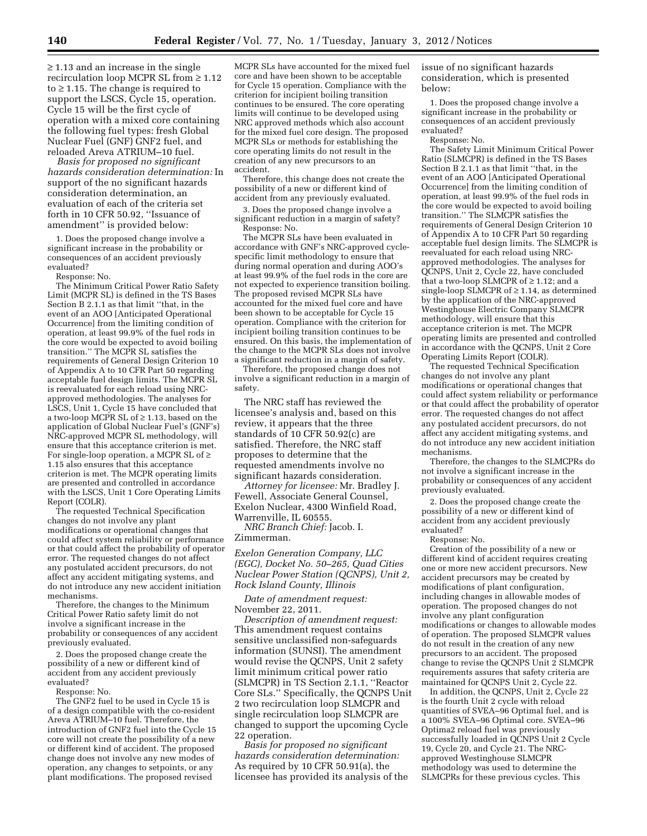≥ 1.13 and an increase in the single recirculation loop MCPR SL from ≥ 1.12 to ≥ 1.15. The change is required to support the LSCS, Cycle 15, operation. Cycle 15 will be the first cycle of operation with a mixed core containing the following fuel types: fresh Global Nuclear Fuel (GNF) GNF2 fuel, and reloaded Areva ATRIUM–10 fuel.

*Basis for proposed no significant hazards consideration determination:* In support of the no significant hazards consideration determination, an evaluation of each of the criteria set forth in 10 CFR 50.92, ''Issuance of amendment'' is provided below:

1. Does the proposed change involve a significant increase in the probability or consequences of an accident previously evaluated?

Response: No.

The Minimum Critical Power Ratio Safety Limit (MCPR SL) is defined in the TS Bases Section B 2.1.1 as that limit ''that, in the event of an AOO [Anticipated Operational Occurrence] from the limiting condition of operation, at least 99.9% of the fuel rods in the core would be expected to avoid boiling transition.'' The MCPR SL satisfies the requirements of General Design Criterion 10 of Appendix A to 10 CFR Part 50 regarding acceptable fuel design limits. The MCPR SL is reevaluated for each reload using NRCapproved methodologies. The analyses for LSCS, Unit 1, Cycle 15 have concluded that a two-loop MCPR SL of ≥ 1.13, based on the application of Global Nuclear Fuel's (GNF's) NRC-approved MCPR SL methodology, will ensure that this acceptance criterion is met. For single-loop operation, a MCPR SL of ≥ 1.15 also ensures that this acceptance criterion is met. The MCPR operating limits are presented and controlled in accordance with the LSCS, Unit 1 Core Operating Limits Report (COLR).

The requested Technical Specification changes do not involve any plant modifications or operational changes that could affect system reliability or performance or that could affect the probability of operator error. The requested changes do not affect any postulated accident precursors, do not affect any accident mitigating systems, and do not introduce any new accident initiation mechanisms.

Therefore, the changes to the Minimum Critical Power Ratio safety limit do not involve a significant increase in the probability or consequences of any accident previously evaluated.

2. Does the proposed change create the possibility of a new or different kind of accident from any accident previously evaluated?

Response: No.

The GNF2 fuel to be used in Cycle 15 is of a design compatible with the co-resident Areva ATRIUM–10 fuel. Therefore, the introduction of GNF2 fuel into the Cycle 15 core will not create the possibility of a new or different kind of accident. The proposed change does not involve any new modes of operation, any changes to setpoints, or any plant modifications. The proposed revised

MCPR SLs have accounted for the mixed fuel core and have been shown to be acceptable for Cycle 15 operation. Compliance with the criterion for incipient boiling transition continues to be ensured. The core operating limits will continue to be developed using NRC approved methods which also account for the mixed fuel core design. The proposed MCPR SLs or methods for establishing the core operating limits do not result in the creation of any new precursors to an accident.

Therefore, this change does not create the possibility of a new or different kind of accident from any previously evaluated.

3. Does the proposed change involve a significant reduction in a margin of safety? Response: No.

The MCPR SLs have been evaluated in accordance with GNF's NRC-approved cyclespecific limit methodology to ensure that during normal operation and during AOO's at least 99.9% of the fuel rods in the core are not expected to experience transition boiling. The proposed revised MCPR SLs have accounted for the mixed fuel core and have been shown to be acceptable for Cycle 15 operation. Compliance with the criterion for incipient boiling transition continues to be ensured. On this basis, the implementation of the change to the MCPR SLs does not involve a significant reduction in a margin of safety.

Therefore, the proposed change does not involve a significant reduction in a margin of safety.

The NRC staff has reviewed the licensee's analysis and, based on this review, it appears that the three standards of 10 CFR 50.92(c) are satisfied. Therefore, the NRC staff proposes to determine that the requested amendments involve no significant hazards consideration.

*Attorney for licensee:* Mr. Bradley J. Fewell, Associate General Counsel, Exelon Nuclear, 4300 Winfield Road, Warrenville, IL 60555.

*NRC Branch Chief:* Jacob. I. Zimmerman.

*Exelon Generation Company, LLC (EGC), Docket No. 50–265, Quad Cities Nuclear Power Station (QCNPS), Unit 2, Rock Island County, Illinois* 

*Date of amendment request:*  November 22, 2011.

*Description of amendment request:*  This amendment request contains sensitive unclassified non-safeguards information (SUNSI). The amendment would revise the QCNPS, Unit 2 safety limit minimum critical power ratio (SLMCPR) in TS Section 2.1.1, ''Reactor Core SLs.'' Specifically, the QCNPS Unit 2 two recirculation loop SLMCPR and single recirculation loop SLMCPR are changed to support the upcoming Cycle 22 operation.

*Basis for proposed no significant hazards consideration determination:*  As required by 10 CFR 50.91(a), the licensee has provided its analysis of the issue of no significant hazards consideration, which is presented below:

1. Does the proposed change involve a significant increase in the probability or consequences of an accident previously evaluated?

Response: No.

The Safety Limit Minimum Critical Power Ratio (SLMCPR) is defined in the TS Bases Section B 2.1.1 as that limit ''that, in the event of an AOO [Anticipated Operational Occurrence] from the limiting condition of operation, at least 99.9% of the fuel rods in the core would be expected to avoid boiling transition.'' The SLMCPR satisfies the requirements of General Design Criterion 10 of Appendix A to 10 CFR Part 50 regarding acceptable fuel design limits. The SLMCPR is reevaluated for each reload using NRCapproved methodologies. The analyses for QCNPS, Unit 2, Cycle 22, have concluded that a two-loop SLMCPR of  $\geq 1.12$ ; and a single-loop SLMCPR of  $\geq$  1.14, as determined by the application of the NRC-approved Westinghouse Electric Company SLMCPR methodology, will ensure that this acceptance criterion is met. The MCPR operating limits are presented and controlled in accordance with the QCNPS, Unit 2 Core Operating Limits Report (COLR).

The requested Technical Specification changes do not involve any plant modifications or operational changes that could affect system reliability or performance or that could affect the probability of operator error. The requested changes do not affect any postulated accident precursors, do not affect any accident mitigating systems, and do not introduce any new accident initiation mechanisms.

Therefore, the changes to the SLMCPRs do not involve a significant increase in the probability or consequences of any accident previously evaluated.

2. Does the proposed change create the possibility of a new or different kind of accident from any accident previously evaluated?

Response: No.

Creation of the possibility of a new or different kind of accident requires creating one or more new accident precursors. New accident precursors may be created by modifications of plant configuration, including changes in allowable modes of operation. The proposed changes do not involve any plant configuration modifications or changes to allowable modes of operation. The proposed SLMCPR values do not result in the creation of any new precursors to an accident. The proposed change to revise the QCNPS Unit 2 SLMCPR requirements assures that safety criteria are maintained for QCNPS Unit 2, Cycle 22.

In addition, the QCNPS, Unit 2, Cycle 22 is the fourth Unit 2 cycle with reload quantities of SVEA–96 Optimal fuel, and is a 100% SVEA–96 Optimal core. SVEA–96 Optima2 reload fuel was previously successfully loaded in QCNPS Unit 2 Cycle 19, Cycle 20, and Cycle 21. The NRCapproved Westinghouse SLMCPR methodology was used to determine the SLMCPRs for these previous cycles. This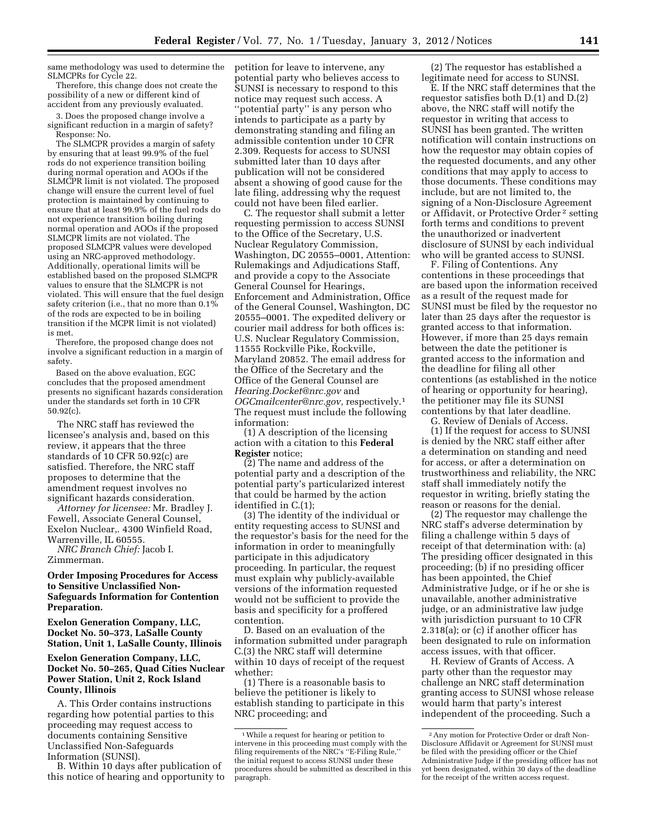same methodology was used to determine the SLMCPRs for Cycle 22.

Therefore, this change does not create the possibility of a new or different kind of accident from any previously evaluated.

3. Does the proposed change involve a significant reduction in a margin of safety? Response: No.

The SLMCPR provides a margin of safety by ensuring that at least 99.9% of the fuel rods do not experience transition boiling during normal operation and AOOs if the SLMCPR limit is not violated. The proposed change will ensure the current level of fuel protection is maintained by continuing to ensure that at least 99.9% of the fuel rods do not experience transition boiling during normal operation and AOOs if the proposed SLMCPR limits are not violated. The proposed SLMCPR values were developed using an NRC-approved methodology. Additionally, operational limits will be established based on the proposed SLMCPR values to ensure that the SLMCPR is not violated. This will ensure that the fuel design safety criterion (i.e., that no more than 0.1% of the rods are expected to be in boiling transition if the MCPR limit is not violated) is met.

Therefore, the proposed change does not involve a significant reduction in a margin of safety.

Based on the above evaluation, EGC concludes that the proposed amendment presents no significant hazards consideration under the standards set forth in 10 CFR 50.92(c).

The NRC staff has reviewed the licensee's analysis and, based on this review, it appears that the three standards of 10 CFR 50.92(c) are satisfied. Therefore, the NRC staff proposes to determine that the amendment request involves no significant hazards consideration.

*Attorney for licensee:* Mr. Bradley J. Fewell, Associate General Counsel, Exelon Nuclear,. 4300 Winfield Road, Warrenville, IL 60555.

*NRC Branch Chief:* Jacob I. Zimmerman.

#### **Order Imposing Procedures for Access to Sensitive Unclassified Non-Safeguards Information for Contention Preparation.**

**Exelon Generation Company, LLC, Docket No. 50–373, LaSalle County Station, Unit 1, LaSalle County, Illinois** 

## **Exelon Generation Company, LLC, Docket No. 50–265, Quad Cities Nuclear Power Station, Unit 2, Rock Island County, Illinois**

A. This Order contains instructions regarding how potential parties to this proceeding may request access to documents containing Sensitive Unclassified Non-Safeguards Information (SUNSI).

B. Within 10 days after publication of this notice of hearing and opportunity to petition for leave to intervene, any potential party who believes access to SUNSI is necessary to respond to this notice may request such access. A "potential party" is any person who intends to participate as a party by demonstrating standing and filing an admissible contention under 10 CFR 2.309. Requests for access to SUNSI submitted later than 10 days after publication will not be considered absent a showing of good cause for the late filing, addressing why the request could not have been filed earlier.

C. The requestor shall submit a letter requesting permission to access SUNSI to the Office of the Secretary, U.S. Nuclear Regulatory Commission, Washington, DC 20555–0001, Attention: Rulemakings and Adjudications Staff, and provide a copy to the Associate General Counsel for Hearings, Enforcement and Administration, Office of the General Counsel, Washington, DC 20555–0001. The expedited delivery or courier mail address for both offices is: U.S. Nuclear Regulatory Commission, 11555 Rockville Pike, Rockville, Maryland 20852. The email address for the Office of the Secretary and the Office of the General Counsel are *[Hearing.Docket@nrc.gov](mailto:Hearing.Docket@nrc.gov)* and *[OGCmailcenter@nrc.gov,](mailto:OGCmailcenter@nrc.gov)* respectively.1 The request must include the following information:

(1) A description of the licensing action with a citation to this **Federal Register** notice;

(2) The name and address of the potential party and a description of the potential party's particularized interest that could be harmed by the action identified in C.(1);

(3) The identity of the individual or entity requesting access to SUNSI and the requestor's basis for the need for the information in order to meaningfully participate in this adjudicatory proceeding. In particular, the request must explain why publicly-available versions of the information requested would not be sufficient to provide the basis and specificity for a proffered contention.

D. Based on an evaluation of the information submitted under paragraph C.(3) the NRC staff will determine within 10 days of receipt of the request whether:

(1) There is a reasonable basis to believe the petitioner is likely to establish standing to participate in this NRC proceeding; and

(2) The requestor has established a legitimate need for access to SUNSI.

E. If the NRC staff determines that the requestor satisfies both D.(1) and D.(2) above, the NRC staff will notify the requestor in writing that access to SUNSI has been granted. The written notification will contain instructions on how the requestor may obtain copies of the requested documents, and any other conditions that may apply to access to those documents. These conditions may include, but are not limited to, the signing of a Non-Disclosure Agreement or Affidavit, or Protective Order 2 setting forth terms and conditions to prevent the unauthorized or inadvertent disclosure of SUNSI by each individual who will be granted access to SUNSI.

F. Filing of Contentions. Any contentions in these proceedings that are based upon the information received as a result of the request made for SUNSI must be filed by the requestor no later than 25 days after the requestor is granted access to that information. However, if more than 25 days remain between the date the petitioner is granted access to the information and the deadline for filing all other contentions (as established in the notice of hearing or opportunity for hearing), the petitioner may file its SUNSI contentions by that later deadline.

G. Review of Denials of Access. (1) If the request for access to SUNSI is denied by the NRC staff either after

a determination on standing and need for access, or after a determination on trustworthiness and reliability, the NRC staff shall immediately notify the requestor in writing, briefly stating the reason or reasons for the denial.

(2) The requestor may challenge the NRC staff's adverse determination by filing a challenge within 5 days of receipt of that determination with: (a) The presiding officer designated in this proceeding; (b) if no presiding officer has been appointed, the Chief Administrative Judge, or if he or she is unavailable, another administrative judge, or an administrative law judge with jurisdiction pursuant to 10 CFR 2.318(a); or (c) if another officer has been designated to rule on information access issues, with that officer.

H. Review of Grants of Access. A party other than the requestor may challenge an NRC staff determination granting access to SUNSI whose release would harm that party's interest independent of the proceeding. Such a

<sup>1</sup>While a request for hearing or petition to intervene in this proceeding must comply with the filing requirements of the NRC's ''E-Filing Rule,'' the initial request to access SUNSI under these procedures should be submitted as described in this paragraph.

<sup>2</sup>Any motion for Protective Order or draft Non-Disclosure Affidavit or Agreement for SUNSI must be filed with the presiding officer or the Chief Administrative Judge if the presiding officer has not yet been designated, within 30 days of the deadline for the receipt of the written access request.